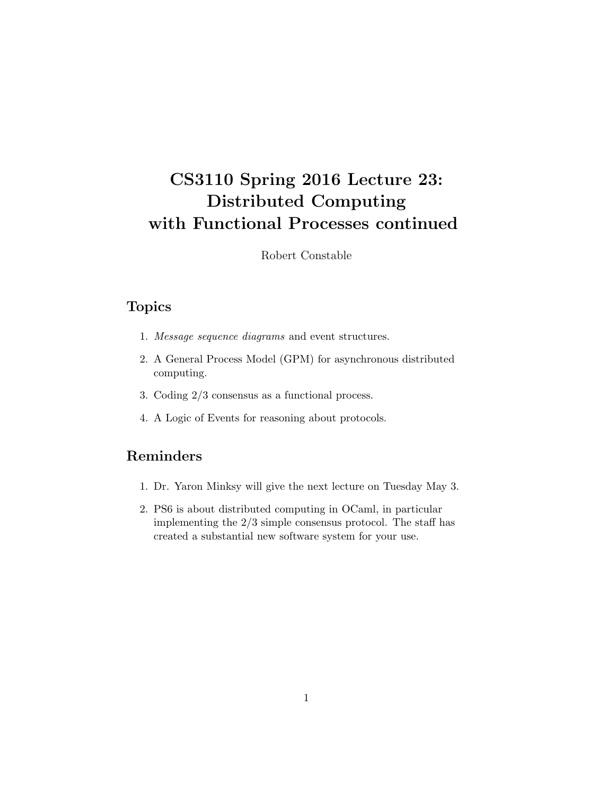# CS3110 Spring 2016 Lecture 23: Distributed Computing with Functional Processes continued

Robert Constable

## Topics

- 1. Message sequence diagrams and event structures.
- 2. A General Process Model (GPM) for asynchronous distributed computing.
- 3. Coding 2/3 consensus as a functional process.
- 4. A Logic of Events for reasoning about protocols.

## Reminders

- 1. Dr. Yaron Minksy will give the next lecture on Tuesday May 3.
- 2. PS6 is about distributed computing in OCaml, in particular implementing the 2/3 simple consensus protocol. The staff has created a substantial new software system for your use.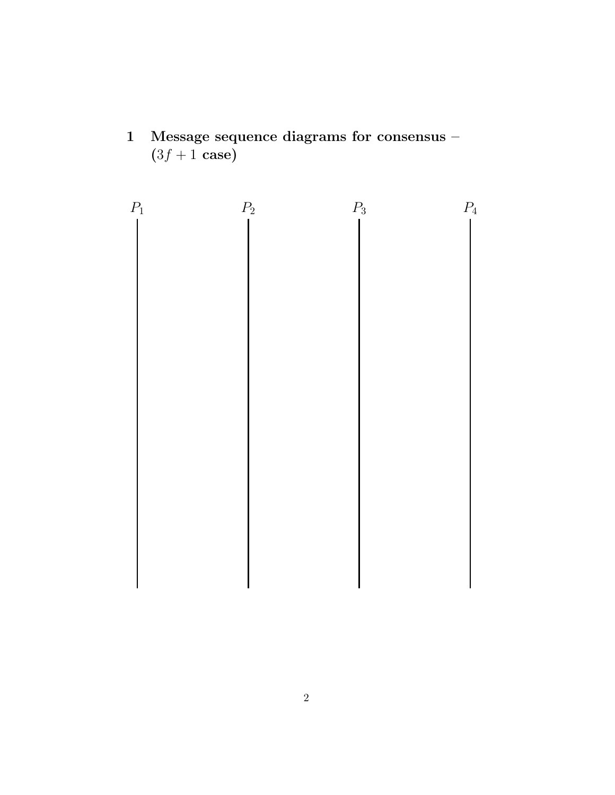1 Message sequence diagrams for consensus –  $(3f + 1 \text{ case})$ 

$$
P_1 \qquad P_2 \qquad P_3 \qquad P_4
$$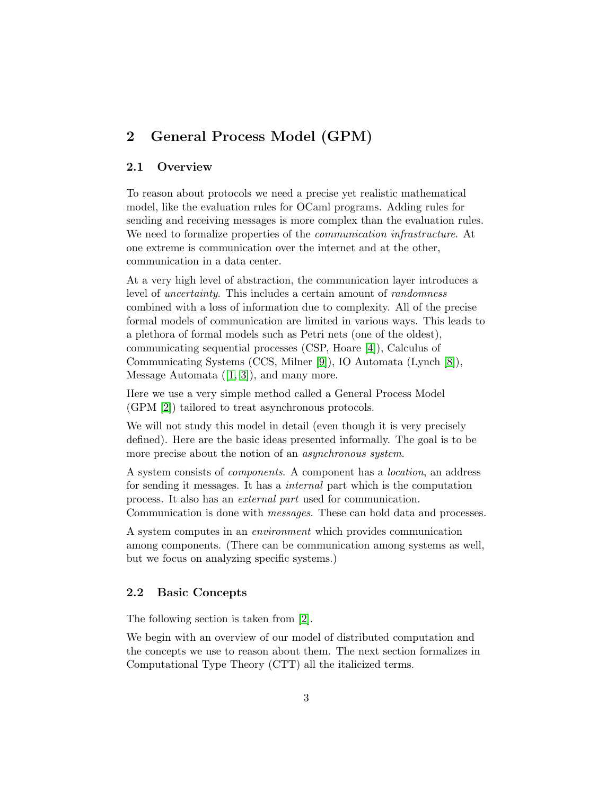## 2 General Process Model (GPM)

#### 2.1 Overview

To reason about protocols we need a precise yet realistic mathematical model, like the evaluation rules for OCaml programs. Adding rules for sending and receiving messages is more complex than the evaluation rules. We need to formalize properties of the *communication infrastructure*. At one extreme is communication over the internet and at the other, communication in a data center.

At a very high level of abstraction, the communication layer introduces a level of uncertainty. This includes a certain amount of randomness combined with a loss of information due to complexity. All of the precise formal models of communication are limited in various ways. This leads to a plethora of formal models such as Petri nets (one of the oldest), communicating sequential processes (CSP, Hoare [\[4\]](#page-9-0)), Calculus of Communicating Systems (CCS, Milner [\[9\]](#page-9-1)), IO Automata (Lynch [\[8\]](#page-9-2)), Message Automata  $([1, 3])$  $([1, 3])$  $([1, 3])$  $([1, 3])$ , and many more.

Here we use a very simple method called a General Process Model (GPM [\[2\]](#page-8-1)) tailored to treat asynchronous protocols.

We will not study this model in detail (even though it is very precisely defined). Here are the basic ideas presented informally. The goal is to be more precise about the notion of an *asynchronous system*.

A system consists of components. A component has a location, an address for sending it messages. It has a internal part which is the computation process. It also has an external part used for communication. Communication is done with messages. These can hold data and processes.

A system computes in an environment which provides communication among components. (There can be communication among systems as well, but we focus on analyzing specific systems.)

#### 2.2 Basic Concepts

The following section is taken from [\[2\]](#page-8-1).

We begin with an overview of our model of distributed computation and the concepts we use to reason about them. The next section formalizes in Computational Type Theory (CTT) all the italicized terms.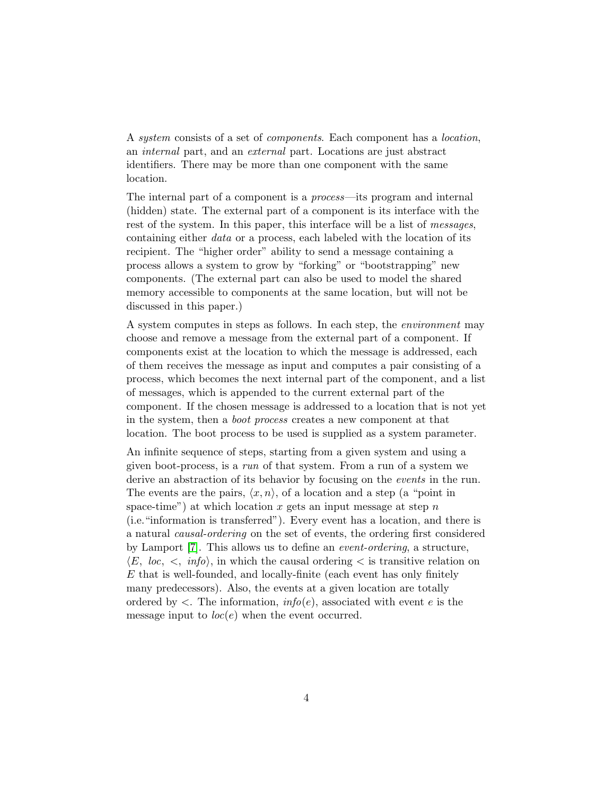A system consists of a set of components. Each component has a location, an internal part, and an external part. Locations are just abstract identifiers. There may be more than one component with the same location.

The internal part of a component is a process—its program and internal (hidden) state. The external part of a component is its interface with the rest of the system. In this paper, this interface will be a list of *messages*, containing either data or a process, each labeled with the location of its recipient. The "higher order" ability to send a message containing a process allows a system to grow by "forking" or "bootstrapping" new components. (The external part can also be used to model the shared memory accessible to components at the same location, but will not be discussed in this paper.)

A system computes in steps as follows. In each step, the environment may choose and remove a message from the external part of a component. If components exist at the location to which the message is addressed, each of them receives the message as input and computes a pair consisting of a process, which becomes the next internal part of the component, and a list of messages, which is appended to the current external part of the component. If the chosen message is addressed to a location that is not yet in the system, then a boot process creates a new component at that location. The boot process to be used is supplied as a system parameter.

An infinite sequence of steps, starting from a given system and using a given boot-process, is a run of that system. From a run of a system we derive an abstraction of its behavior by focusing on the *events* in the run. The events are the pairs,  $\langle x, n \rangle$ , of a location and a step (a "point in space-time") at which location  $x$  gets an input message at step  $n$ (i.e."information is transferred"). Every event has a location, and there is a natural causal-ordering on the set of events, the ordering first considered by Lamport [\[7\]](#page-9-4). This allows us to define an event-ordering, a structure,  $\langle E, loc, \langle \cdot, \text{info} \rangle$ , in which the causal ordering  $\langle$  is transitive relation on  $E$  that is well-founded, and locally-finite (each event has only finitely many predecessors). Also, the events at a given location are totally ordered by  $\langle$ . The information,  $info(e)$ , associated with event e is the message input to  $loc(e)$  when the event occurred.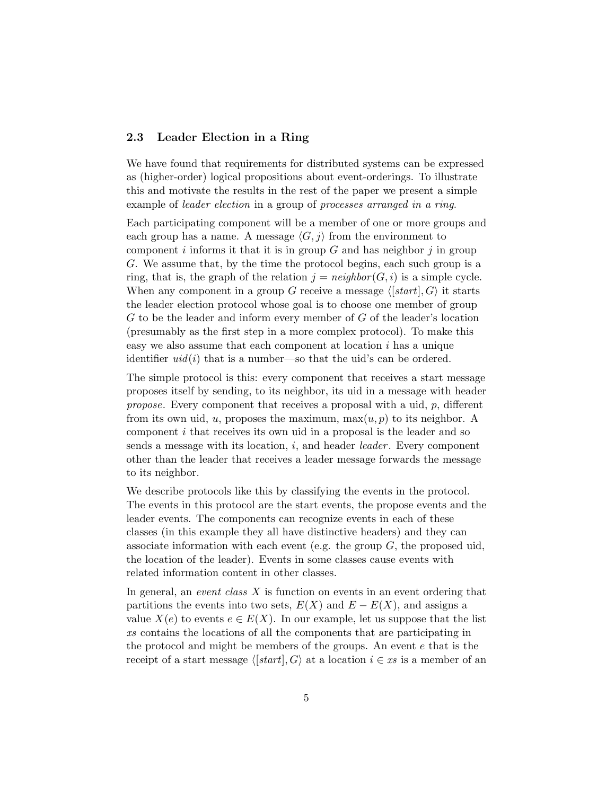#### 2.3 Leader Election in a Ring

We have found that requirements for distributed systems can be expressed as (higher-order) logical propositions about event-orderings. To illustrate this and motivate the results in the rest of the paper we present a simple example of leader election in a group of processes arranged in a ring.

Each participating component will be a member of one or more groups and each group has a name. A message  $\langle G, j \rangle$  from the environment to component i informs it that it is in group  $G$  and has neighbor j in group G. We assume that, by the time the protocol begins, each such group is a ring, that is, the graph of the relation  $i = \text{neighbor}(G, i)$  is a simple cycle. When any component in a group G receive a message  $\langle [start], G \rangle$  it starts the leader election protocol whose goal is to choose one member of group G to be the leader and inform every member of G of the leader's location (presumably as the first step in a more complex protocol). To make this easy we also assume that each component at location i has a unique identifier  $uid(i)$  that is a number—so that the uid's can be ordered.

The simple protocol is this: every component that receives a start message proposes itself by sending, to its neighbor, its uid in a message with header propose. Every component that receives a proposal with a uid, p, different from its own uid, u, proposes the maximum,  $\max(u, p)$  to its neighbor. A component i that receives its own uid in a proposal is the leader and so sends a message with its location,  $i$ , and header *leader*. Every component other than the leader that receives a leader message forwards the message to its neighbor.

We describe protocols like this by classifying the events in the protocol. The events in this protocol are the start events, the propose events and the leader events. The components can recognize events in each of these classes (in this example they all have distinctive headers) and they can associate information with each event (e.g. the group  $G$ , the proposed uid, the location of the leader). Events in some classes cause events with related information content in other classes.

In general, an event class  $X$  is function on events in an event ordering that partitions the events into two sets,  $E(X)$  and  $E - E(X)$ , and assigns a value  $X(e)$  to events  $e \in E(X)$ . In our example, let us suppose that the list xs contains the locations of all the components that are participating in the protocol and might be members of the groups. An event e that is the receipt of a start message  $\langle [start], G \rangle$  at a location  $i \in xs$  is a member of an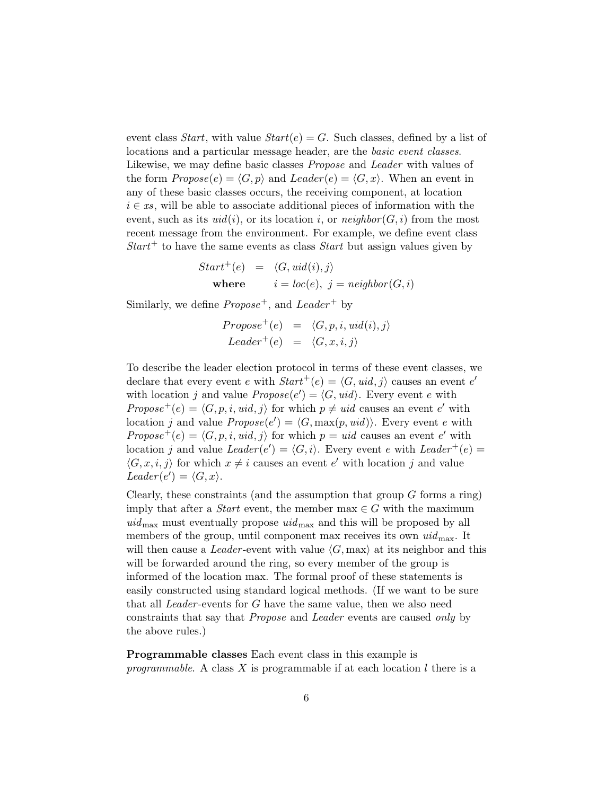event class *Start*, with value  $Start(e) = G$ . Such classes, defined by a list of locations and a particular message header, are the basic event classes. Likewise, we may define basic classes Propose and Leader with values of the form  $Propose(e) = \langle G, p \rangle$  and  $Leader(e) = \langle G, x \rangle$ . When an event in any of these basic classes occurs, the receiving component, at location  $i \in \mathit{xs}$ , will be able to associate additional pieces of information with the event, such as its  $uid(i)$ , or its location i, or neighbor  $(G, i)$  from the most recent message from the environment. For example, we define event class  $Start<sup>+</sup>$  to have the same events as class *Start* but assign values given by

$$
Start^{+}(e) = \langle G, \text{uid}(i), j \rangle
$$
  
where  $i = loc(e), j = \text{neighbor}(G, i)$ 

Similarly, we define  $Propose^+$ , and  $Leader^+$  by

$$
Propose^{+}(e) = \langle G, p, i, uid(i), j \rangle
$$
  
Leader<sup>+</sup>(e) =  $\langle G, x, i, j \rangle$ 

To describe the leader election protocol in terms of these event classes, we declare that every event e with  $Start^+(e) = \langle G, \text{uid}, j \rangle$  causes an event e' with location j and value  $Propose(e') = \langle G, \text{uid} \rangle$ . Every event e with Propose<sup>+</sup>(e) =  $\langle G, p, i, uid, j \rangle$  for which  $p \neq uid$  causes an event e' with location j and value  $Propose(e') = \langle G, \max(p, \text{uid})\rangle$ . Every event e with Propose<sup>+</sup>(e) =  $\langle G, p, i, u \cdot d, j \rangle$  for which  $p = u \cdot id$  causes an event e' with location j and value  $Leader(e') = \langle G, i \rangle$ . Every event e with  $Leader^+(e)$  $\langle G, x, i, j \rangle$  for which  $x \neq i$  causes an event e' with location j and value Leader(e') =  $\langle G, x \rangle$ .

Clearly, these constraints (and the assumption that group  $G$  forms a ring) imply that after a *Start* event, the member max  $\in G$  with the maximum  $uid_{\text{max}}$  must eventually propose  $uid_{\text{max}}$  and this will be proposed by all members of the group, until component max receives its own  $uid_{\text{max}}$ . It will then cause a Leader-event with value  $\langle G, \max \rangle$  at its neighbor and this will be forwarded around the ring, so every member of the group is informed of the location max. The formal proof of these statements is easily constructed using standard logical methods. (If we want to be sure that all Leader -events for G have the same value, then we also need constraints that say that Propose and Leader events are caused only by the above rules.)

Programmable classes Each event class in this example is programmable. A class X is programmable if at each location  $l$  there is a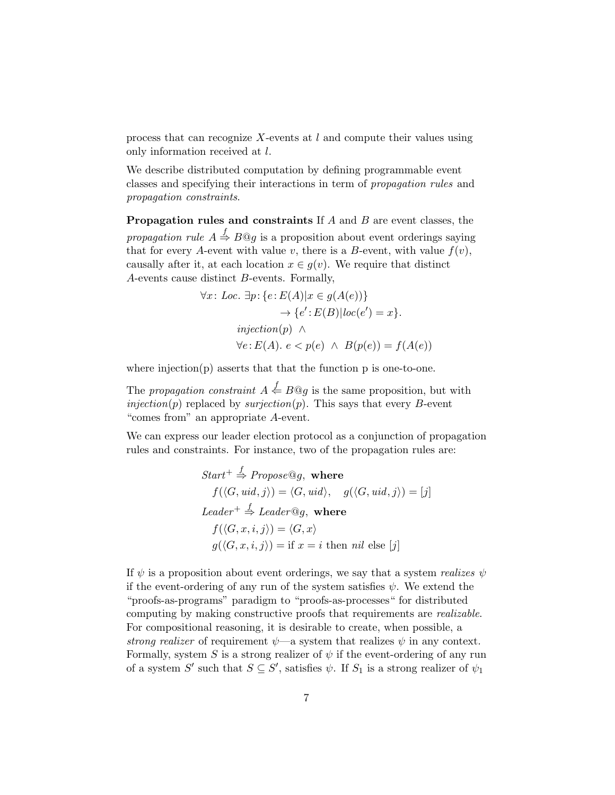process that can recognize  $X$ -events at  $l$  and compute their values using only information received at l.

We describe distributed computation by defining programmable event classes and specifying their interactions in term of propagation rules and propagation constraints.

**Propagation rules and constraints** If  $A$  and  $B$  are event classes, the propagation rule  $A \stackrel{f}{\Rightarrow} B@g$  is a proposition about event orderings saying that for every A-event with value v, there is a B-event, with value  $f(v)$ , causally after it, at each location  $x \in g(v)$ . We require that distinct A-events cause distinct B-events. Formally,

$$
\forall x \colon Loc. \exists p \colon \{e \colon E(A)|x \in g(A(e))\} \rightarrow \{e' \colon E(B)|loc(e') = x\}.
$$
  

$$
injection(p) \land \forall e \colon E(A). e < p(e) \land B(p(e)) = f(A(e))
$$

where injection $(p)$  asserts that that the function p is one-to-one.

The propagation constraint  $A \stackrel{f}{\leftarrow} B@g$  is the same proposition, but with  $injection(p)$  replaced by surjection(p). This says that every B-event "comes from" an appropriate A-event.

We can express our leader election protocol as a conjunction of propagation rules and constraints. For instance, two of the propagation rules are:

Start<sup>+</sup> 
$$
\stackrel{f}{\Rightarrow}
$$
 Propose@g, where  
\n $f(\langle G, \text{uid}, j \rangle) = \langle G, \text{uid} \rangle, \quad g(\langle G, \text{uid}, j \rangle) = [j]$   
\nLeader<sup>+</sup>  $\stackrel{f}{\Rightarrow}$  Leader@g, where  
\n $f(\langle G, x, i, j \rangle) = \langle G, x \rangle$   
\n $g(\langle G, x, i, j \rangle) = \text{if } x = i \text{ then } nil \text{ else } [j]$ 

If  $\psi$  is a proposition about event orderings, we say that a system realizes  $\psi$ if the event-ordering of any run of the system satisfies  $\psi$ . We extend the "proofs-as-programs" paradigm to "proofs-as-processes" for distributed computing by making constructive proofs that requirements are realizable. For compositional reasoning, it is desirable to create, when possible, a strong realizer of requirement  $\psi$ —a system that realizes  $\psi$  in any context. Formally, system S is a strong realizer of  $\psi$  if the event-ordering of any run of a system  $S'$  such that  $S \subseteq S'$ , satisfies  $\psi$ . If  $S_1$  is a strong realizer of  $\psi_1$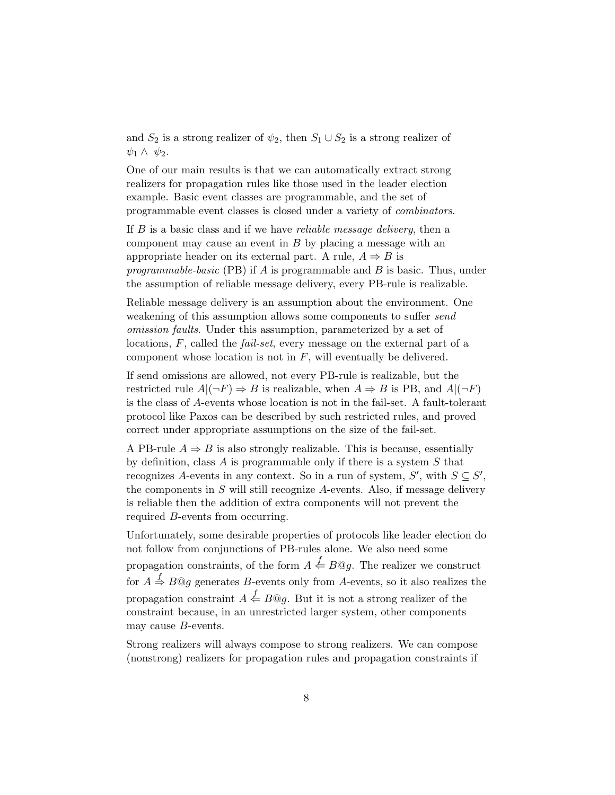and  $S_2$  is a strong realizer of  $\psi_2$ , then  $S_1 \cup S_2$  is a strong realizer of  $\psi_1 \wedge \psi_2$ .

One of our main results is that we can automatically extract strong realizers for propagation rules like those used in the leader election example. Basic event classes are programmable, and the set of programmable event classes is closed under a variety of combinators.

If  $B$  is a basic class and if we have *reliable message delivery*, then a component may cause an event in  $B$  by placing a message with an appropriate header on its external part. A rule,  $A \Rightarrow B$  is programmable-basic (PB) if  $A$  is programmable and  $B$  is basic. Thus, under the assumption of reliable message delivery, every PB-rule is realizable.

Reliable message delivery is an assumption about the environment. One weakening of this assumption allows some components to suffer *send* omission faults. Under this assumption, parameterized by a set of locations, F, called the fail-set, every message on the external part of a component whose location is not in  $F$ , will eventually be delivered.

If send omissions are allowed, not every PB-rule is realizable, but the restricted rule  $A|(\neg F) \Rightarrow B$  is realizable, when  $A \Rightarrow B$  is PB, and  $A|(\neg F)$ is the class of A-events whose location is not in the fail-set. A fault-tolerant protocol like Paxos can be described by such restricted rules, and proved correct under appropriate assumptions on the size of the fail-set.

A PB-rule  $A \Rightarrow B$  is also strongly realizable. This is because, essentially by definition, class  $A$  is programmable only if there is a system  $S$  that recognizes A-events in any context. So in a run of system,  $S'$ , with  $S \subseteq S'$ , the components in  $S$  will still recognize A-events. Also, if message delivery is reliable then the addition of extra components will not prevent the required B-events from occurring.

Unfortunately, some desirable properties of protocols like leader election do not follow from conjunctions of PB-rules alone. We also need some propagation constraints, of the form  $A \stackrel{f}{\leftarrow} B@g$ . The realizer we construct for  $A \stackrel{f}{\Rightarrow} B@g$  generates B-events only from A-events, so it also realizes the propagation constraint  $A \stackrel{f}{\Leftarrow} B@g$ . But it is not a strong realizer of the constraint because, in an unrestricted larger system, other components may cause B-events.

Strong realizers will always compose to strong realizers. We can compose (nonstrong) realizers for propagation rules and propagation constraints if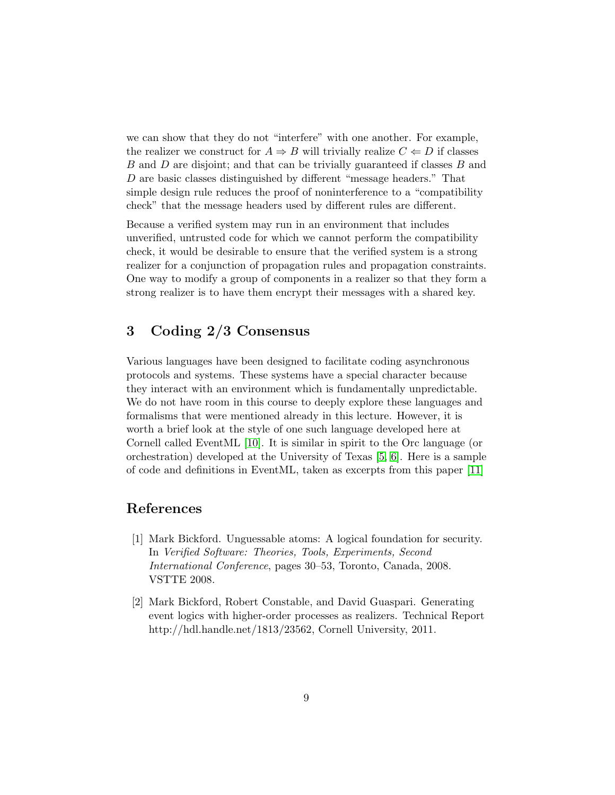we can show that they do not "interfere" with one another. For example, the realizer we construct for  $A \Rightarrow B$  will trivially realize  $C \Leftarrow D$  if classes B and D are disjoint; and that can be trivially guaranteed if classes B and D are basic classes distinguished by different "message headers." That simple design rule reduces the proof of noninterference to a "compatibility check" that the message headers used by different rules are different.

Because a verified system may run in an environment that includes unverified, untrusted code for which we cannot perform the compatibility check, it would be desirable to ensure that the verified system is a strong realizer for a conjunction of propagation rules and propagation constraints. One way to modify a group of components in a realizer so that they form a strong realizer is to have them encrypt their messages with a shared key.

## 3 Coding 2/3 Consensus

Various languages have been designed to facilitate coding asynchronous protocols and systems. These systems have a special character because they interact with an environment which is fundamentally unpredictable. We do not have room in this course to deeply explore these languages and formalisms that were mentioned already in this lecture. However, it is worth a brief look at the style of one such language developed here at Cornell called EventML [\[10\]](#page-9-5). It is similar in spirit to the Orc language (or orchestration) developed at the University of Texas [\[5,](#page-9-6) [6\]](#page-9-7). Here is a sample of code and definitions in EventML, taken as excerpts from this paper [\[11\]](#page-9-8)

### References

- <span id="page-8-0"></span>[1] Mark Bickford. Unguessable atoms: A logical foundation for security. In Verified Software: Theories, Tools, Experiments, Second International Conference, pages 30–53, Toronto, Canada, 2008. VSTTE 2008.
- <span id="page-8-1"></span>[2] Mark Bickford, Robert Constable, and David Guaspari. Generating event logics with higher-order processes as realizers. Technical Report http://hdl.handle.net/1813/23562, Cornell University, 2011.